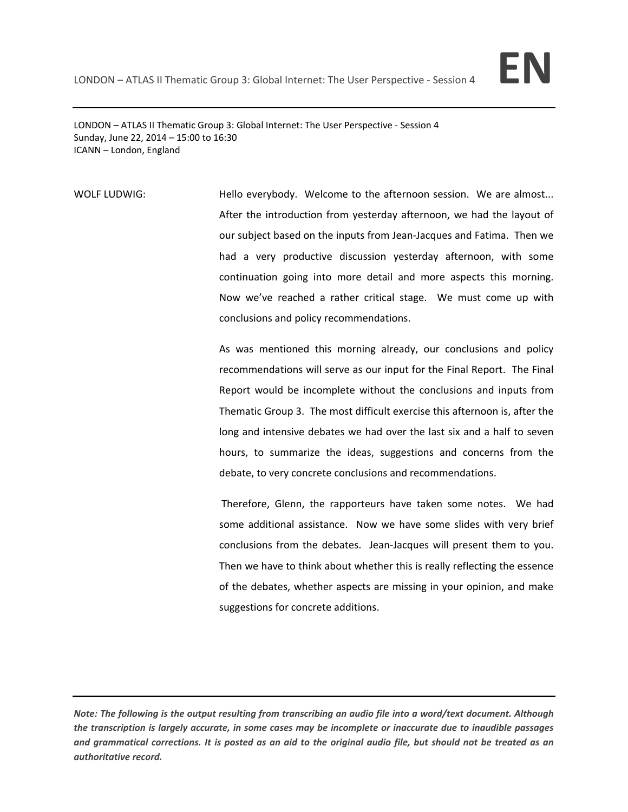

LONDON – ATLAS II Thematic Group 3: Global Internet: The User Perspective ‐ Session 4 Sunday, June 22, 2014 – 15:00 to 16:30 ICANN – London, England

WOLF LUDWIG: **Hello everybody.** Welcome to the afternoon session. We are almost... After the introduction from yesterday afternoon, we had the layout of our subject based on the inputs from Jean‐Jacques and Fatima. Then we had a very productive discussion yesterday afternoon, with some continuation going into more detail and more aspects this morning. Now we've reached a rather critical stage. We must come up with conclusions and policy recommendations.

> As was mentioned this morning already, our conclusions and policy recommendations will serve as our input for the Final Report. The Final Report would be incomplete without the conclusions and inputs from Thematic Group 3. The most difficult exercise this afternoon is, after the long and intensive debates we had over the last six and a half to seven hours, to summarize the ideas, suggestions and concerns from the debate, to very concrete conclusions and recommendations.

> Therefore, Glenn, the rapporteurs have taken some notes. We had some additional assistance. Now we have some slides with very brief conclusions from the debates. Jean‐Jacques will present them to you. Then we have to think about whether this is really reflecting the essence of the debates, whether aspects are missing in your opinion, and make suggestions for concrete additions.

Note: The following is the output resulting from transcribing an audio file into a word/text document. Although the transcription is largely accurate, in some cases may be incomplete or inaccurate due to inaudible passages and grammatical corrections. It is posted as an aid to the original audio file, but should not be treated as an *authoritative record.*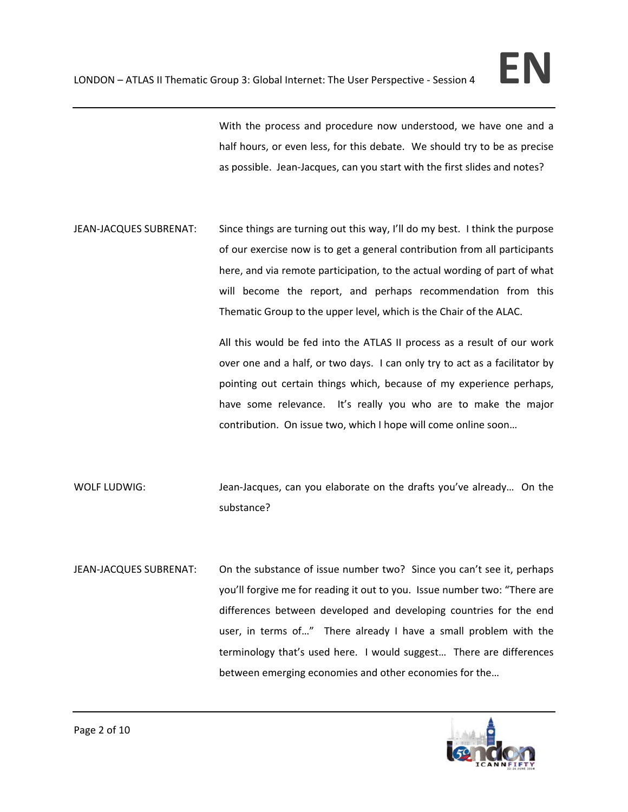With the process and procedure now understood, we have one and a half hours, or even less, for this debate. We should try to be as precise as possible. Jean‐Jacques, can you start with the first slides and notes?

JEAN-JACQUES SUBRENAT: Since things are turning out this way, I'll do my best. I think the purpose of our exercise now is to get a general contribution from all participants here, and via remote participation, to the actual wording of part of what will become the report, and perhaps recommendation from this Thematic Group to the upper level, which is the Chair of the ALAC.

> All this would be fed into the ATLAS II process as a result of our work over one and a half, or two days. I can only try to act as a facilitator by pointing out certain things which, because of my experience perhaps, have some relevance. It's really you who are to make the major contribution. On issue two, which I hope will come online soon…

- WOLF LUDWIG: Jean-Jacques, can you elaborate on the drafts you've already... On the substance?
- JEAN-JACQUES SUBRENAT: On the substance of issue number two? Since you can't see it, perhaps you'll forgive me for reading it out to you. Issue number two: "There are differences between developed and developing countries for the end user, in terms of..." There already I have a small problem with the terminology that's used here. I would suggest… There are differences between emerging economies and other economies for the…

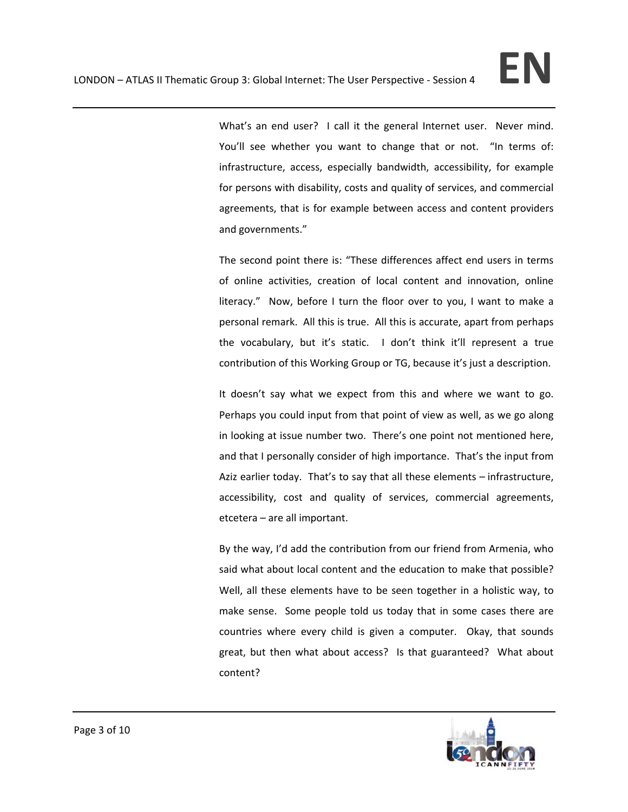What's an end user? I call it the general Internet user. Never mind. You'll see whether you want to change that or not. "In terms of: infrastructure, access, especially bandwidth, accessibility, for example for persons with disability, costs and quality of services, and commercial agreements, that is for example between access and content providers and governments."

The second point there is: "These differences affect end users in terms of online activities, creation of local content and innovation, online literacy." Now, before I turn the floor over to you, I want to make a personal remark. All this is true. All this is accurate, apart from perhaps the vocabulary, but it's static. I don't think it'll represent a true contribution of this Working Group or TG, because it's just a description.

It doesn't say what we expect from this and where we want to go. Perhaps you could input from that point of view as well, as we go along in looking at issue number two. There's one point not mentioned here, and that I personally consider of high importance. That's the input from Aziz earlier today. That's to say that all these elements – infrastructure, accessibility, cost and quality of services, commercial agreements, etcetera – are all important.

By the way, I'd add the contribution from our friend from Armenia, who said what about local content and the education to make that possible? Well, all these elements have to be seen together in a holistic way, to make sense. Some people told us today that in some cases there are countries where every child is given a computer. Okay, that sounds great, but then what about access? Is that guaranteed? What about content?

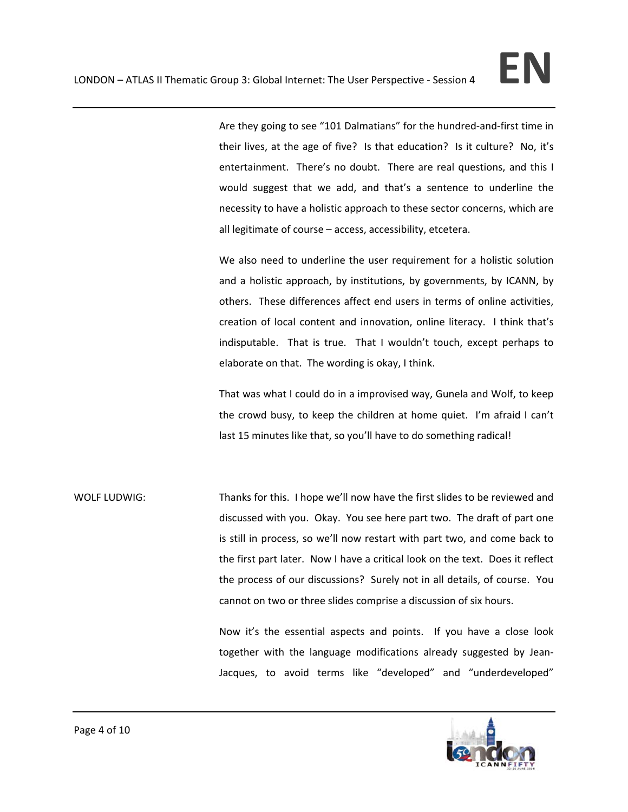Are they going to see "101 Dalmatians" for the hundred‐and‐first time in their lives, at the age of five? Is that education? Is it culture? No, it's entertainment. There's no doubt. There are real questions, and this I would suggest that we add, and that's a sentence to underline the necessity to have a holistic approach to these sector concerns, which are all legitimate of course – access, accessibility, etcetera.

We also need to underline the user requirement for a holistic solution and a holistic approach, by institutions, by governments, by ICANN, by others. These differences affect end users in terms of online activities, creation of local content and innovation, online literacy. I think that's indisputable. That is true. That I wouldn't touch, except perhaps to elaborate on that. The wording is okay, I think.

That was what I could do in a improvised way, Gunela and Wolf, to keep the crowd busy, to keep the children at home quiet. I'm afraid I can't last 15 minutes like that, so you'll have to do something radical!

WOLF LUDWIG: Thanks for this. I hope we'll now have the first slides to be reviewed and discussed with you. Okay. You see here part two. The draft of part one is still in process, so we'll now restart with part two, and come back to the first part later. Now I have a critical look on the text. Does it reflect the process of our discussions? Surely not in all details, of course. You cannot on two or three slides comprise a discussion of six hours.

> Now it's the essential aspects and points. If you have a close look together with the language modifications already suggested by Jean‐ Jacques, to avoid terms like "developed" and "underdeveloped"

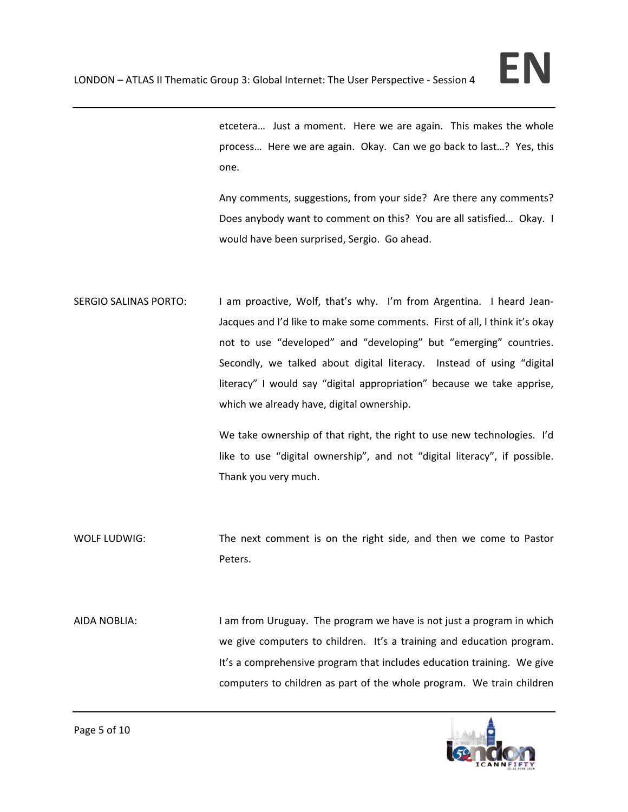

etcetera… Just a moment. Here we are again. This makes the whole process… Here we are again. Okay. Can we go back to last…? Yes, this one.

Any comments, suggestions, from your side? Are there any comments? Does anybody want to comment on this? You are all satisfied… Okay. I would have been surprised, Sergio. Go ahead.

SERGIO SALINAS PORTO: I am proactive, Wolf, that's why. I'm from Argentina. I heard Jean-Jacques and I'd like to make some comments. First of all, I think it's okay not to use "developed" and "developing" but "emerging" countries. Secondly, we talked about digital literacy. Instead of using "digital literacy" I would say "digital appropriation" because we take apprise, which we already have, digital ownership.

> We take ownership of that right, the right to use new technologies. I'd like to use "digital ownership", and not "digital literacy", if possible. Thank you very much.

- WOLF LUDWIG: The next comment is on the right side, and then we come to Pastor Peters.
- AIDA NOBLIA: I am from Uruguay. The program we have is not just a program in which we give computers to children. It's a training and education program. It's a comprehensive program that includes education training. We give computers to children as part of the whole program. We train children

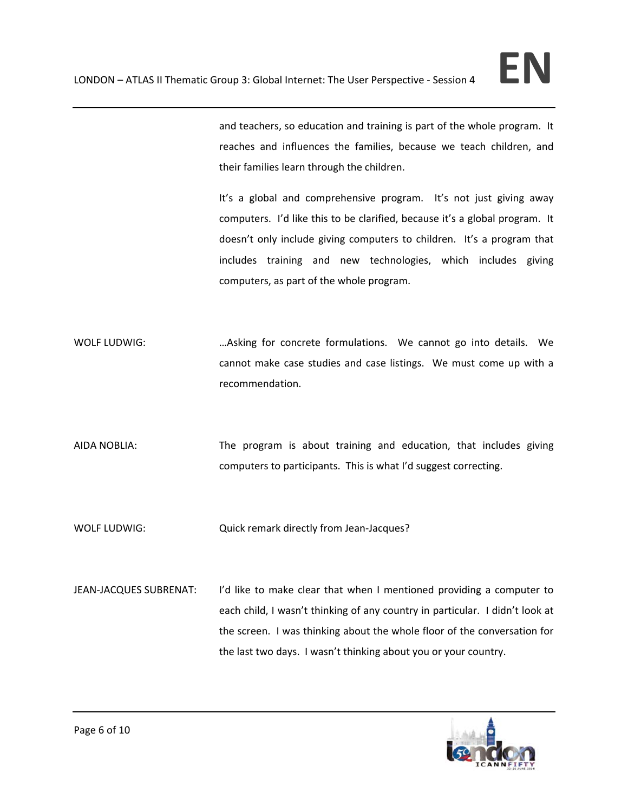and teachers, so education and training is part of the whole program. It reaches and influences the families, because we teach children, and their families learn through the children.

It's a global and comprehensive program. It's not just giving away computers. I'd like this to be clarified, because it's a global program. It doesn't only include giving computers to children. It's a program that includes training and new technologies, which includes giving computers, as part of the whole program.

- WOLF LUDWIG: …Asking for concrete formulations. We cannot go into details. We cannot make case studies and case listings. We must come up with a recommendation.
- AIDA NOBLIA: The program is about training and education, that includes giving computers to participants. This is what I'd suggest correcting.

WOLF LUDWIG: Cuick remark directly from Jean-Jacques?

JEAN‐JACQUES SUBRENAT: I'd like to make clear that when I mentioned providing a computer to each child, I wasn't thinking of any country in particular. I didn't look at the screen. I was thinking about the whole floor of the conversation for the last two days. I wasn't thinking about you or your country.

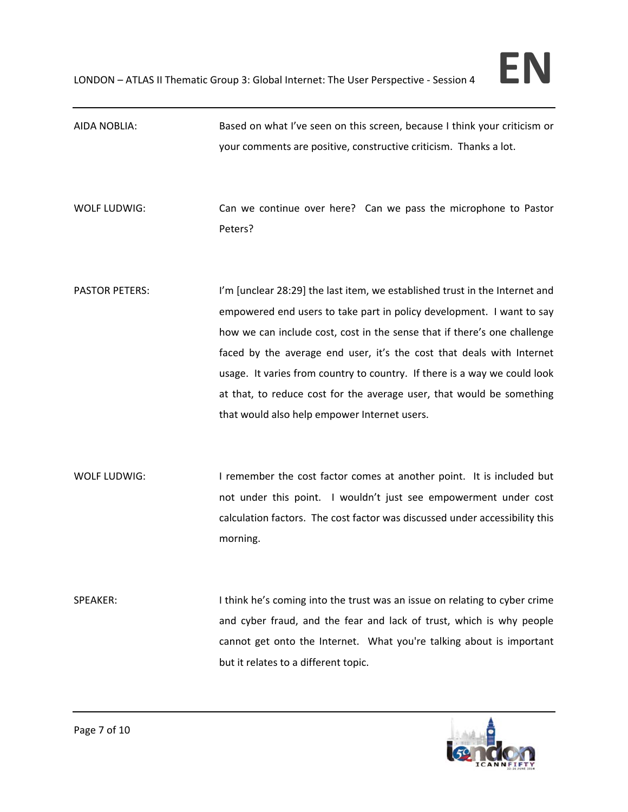| AIDA NOBLIA:          | Based on what I've seen on this screen, because I think your criticism or<br>your comments are positive, constructive criticism. Thanks a lot.                                                                                                                                                                                                                                                                                                                                                                  |
|-----------------------|-----------------------------------------------------------------------------------------------------------------------------------------------------------------------------------------------------------------------------------------------------------------------------------------------------------------------------------------------------------------------------------------------------------------------------------------------------------------------------------------------------------------|
| WOLF LUDWIG:          | Can we continue over here? Can we pass the microphone to Pastor<br>Peters?                                                                                                                                                                                                                                                                                                                                                                                                                                      |
| <b>PASTOR PETERS:</b> | I'm [unclear 28:29] the last item, we established trust in the Internet and<br>empowered end users to take part in policy development. I want to say<br>how we can include cost, cost in the sense that if there's one challenge<br>faced by the average end user, it's the cost that deals with Internet<br>usage. It varies from country to country. If there is a way we could look<br>at that, to reduce cost for the average user, that would be something<br>that would also help empower Internet users. |
| WOLF LUDWIG:          | I remember the cost factor comes at another point. It is included but<br>not under this point. I wouldn't just see empowerment under cost<br>calculation factors. The cost factor was discussed under accessibility this<br>morning.                                                                                                                                                                                                                                                                            |
| SPEAKER:              | I think he's coming into the trust was an issue on relating to cyber crime<br>and cyber fraud, and the fear and lack of trust, which is why people<br>cannot get onto the Internet. What you're talking about is important<br>but it relates to a different topic.                                                                                                                                                                                                                                              |

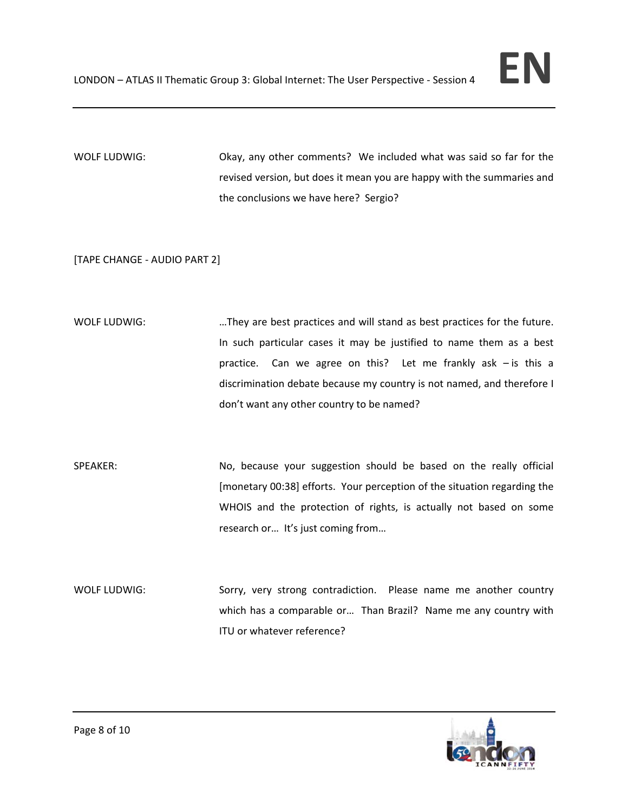

WOLF LUDWIG: Okay, any other comments? We included what was said so far for the revised version, but does it mean you are happy with the summaries and the conclusions we have here? Sergio?

[TAPE CHANGE ‐ AUDIO PART 2]

- WOLF LUDWIG: …They are best practices and will stand as best practices for the future. In such particular cases it may be justified to name them as a best practice. Can we agree on this? Let me frankly ask - is this a discrimination debate because my country is not named, and therefore I don't want any other country to be named?
- SPEAKER: No, because your suggestion should be based on the really official [monetary 00:38] efforts. Your perception of the situation regarding the WHOIS and the protection of rights, is actually not based on some research or… It's just coming from…
- WOLF LUDWIG: Sorry, very strong contradiction. Please name me another country which has a comparable or… Than Brazil? Name me any country with ITU or whatever reference?

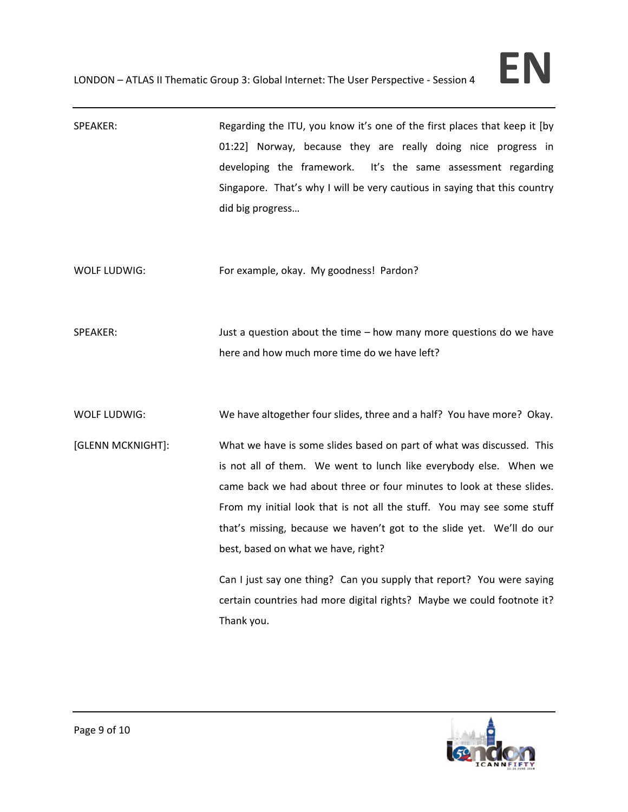| SPEAKER:            | Regarding the ITU, you know it's one of the first places that keep it [by<br>01:22] Norway, because they are really doing nice progress in<br>developing the framework.<br>It's the same assessment regarding<br>Singapore. That's why I will be very cautious in saying that this country<br>did big progress                                                                                                                                                                                                                                                                 |
|---------------------|--------------------------------------------------------------------------------------------------------------------------------------------------------------------------------------------------------------------------------------------------------------------------------------------------------------------------------------------------------------------------------------------------------------------------------------------------------------------------------------------------------------------------------------------------------------------------------|
| WOLF LUDWIG:        | For example, okay. My goodness! Pardon?                                                                                                                                                                                                                                                                                                                                                                                                                                                                                                                                        |
| SPEAKER:            | Just a question about the time $-$ how many more questions do we have<br>here and how much more time do we have left?                                                                                                                                                                                                                                                                                                                                                                                                                                                          |
| <b>WOLF LUDWIG:</b> | We have altogether four slides, three and a half? You have more? Okay.                                                                                                                                                                                                                                                                                                                                                                                                                                                                                                         |
| [GLENN MCKNIGHT]:   | What we have is some slides based on part of what was discussed. This<br>is not all of them. We went to lunch like everybody else. When we<br>came back we had about three or four minutes to look at these slides.<br>From my initial look that is not all the stuff. You may see some stuff<br>that's missing, because we haven't got to the slide yet. We'll do our<br>best, based on what we have, right?<br>Can I just say one thing? Can you supply that report? You were saying<br>certain countries had more digital rights? Maybe we could footnote it?<br>Thank you. |